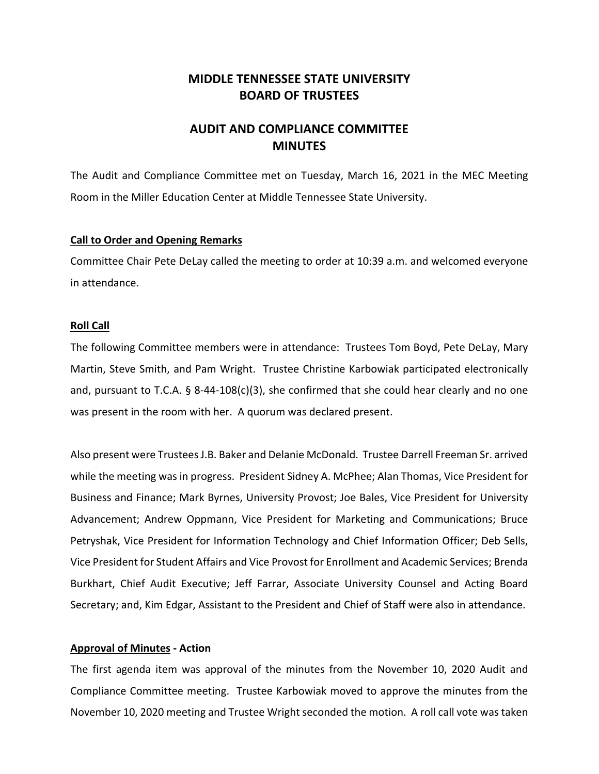# **MIDDLE TENNESSEE STATE UNIVERSITY BOARD OF TRUSTEES**

# **AUDIT AND COMPLIANCE COMMITTEE MINUTES**

The Audit and Compliance Committee met on Tuesday, March 16, 2021 in the MEC Meeting Room in the Miller Education Center at Middle Tennessee State University.

#### **Call to Order and Opening Remarks**

Committee Chair Pete DeLay called the meeting to order at 10:39 a.m. and welcomed everyone in attendance.

## **Roll Call**

The following Committee members were in attendance: Trustees Tom Boyd, Pete DeLay, Mary Martin, Steve Smith, and Pam Wright. Trustee Christine Karbowiak participated electronically and, pursuant to T.C.A. § 8‐44‐108(c)(3), she confirmed that she could hear clearly and no one was present in the room with her. A quorum was declared present.

Also present were TrusteesJ.B. Baker and Delanie McDonald. Trustee Darrell Freeman Sr. arrived while the meeting was in progress. President Sidney A. McPhee; Alan Thomas, Vice President for Business and Finance; Mark Byrnes, University Provost; Joe Bales, Vice President for University Advancement; Andrew Oppmann, Vice President for Marketing and Communications; Bruce Petryshak, Vice President for Information Technology and Chief Information Officer; Deb Sells, Vice President for Student Affairs and Vice Provost for Enrollment and Academic Services; Brenda Burkhart, Chief Audit Executive; Jeff Farrar, Associate University Counsel and Acting Board Secretary; and, Kim Edgar, Assistant to the President and Chief of Staff were also in attendance.

# **Approval of Minutes ‐ Action**

The first agenda item was approval of the minutes from the November 10, 2020 Audit and Compliance Committee meeting. Trustee Karbowiak moved to approve the minutes from the November 10, 2020 meeting and Trustee Wright seconded the motion. A roll call vote was taken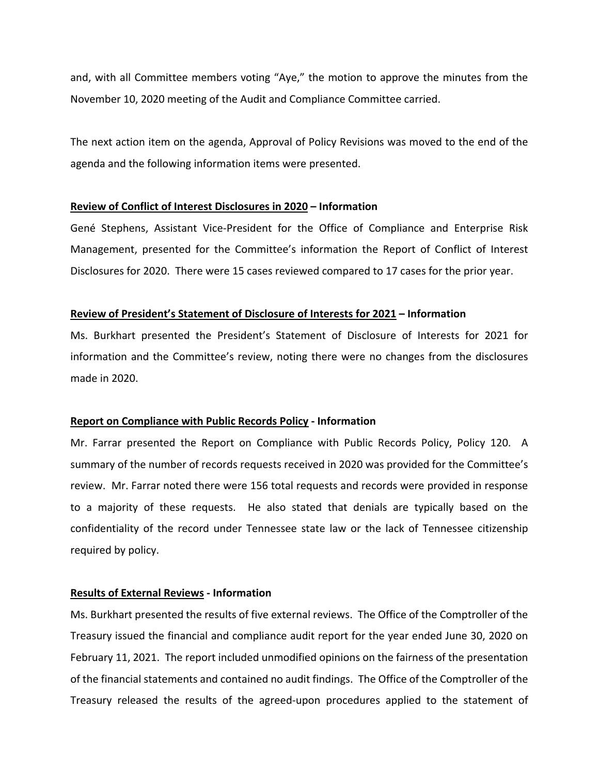and, with all Committee members voting "Aye," the motion to approve the minutes from the November 10, 2020 meeting of the Audit and Compliance Committee carried.

The next action item on the agenda, Approval of Policy Revisions was moved to the end of the agenda and the following information items were presented.

#### **Review of Conflict of Interest Disclosures in 2020 – Information**

Gené Stephens, Assistant Vice‐President for the Office of Compliance and Enterprise Risk Management, presented for the Committee's information the Report of Conflict of Interest Disclosures for 2020. There were 15 cases reviewed compared to 17 cases for the prior year.

## **Review of President's Statement of Disclosure of Interests for 2021 – Information**

Ms. Burkhart presented the President's Statement of Disclosure of Interests for 2021 for information and the Committee's review, noting there were no changes from the disclosures made in 2020.

# **Report on Compliance with Public Records Policy ‐ Information**

Mr. Farrar presented the Report on Compliance with Public Records Policy, Policy 120. A summary of the number of records requests received in 2020 was provided for the Committee's review. Mr. Farrar noted there were 156 total requests and records were provided in response to a majority of these requests. He also stated that denials are typically based on the confidentiality of the record under Tennessee state law or the lack of Tennessee citizenship required by policy.

#### **Results of External Reviews ‐ Information**

Ms. Burkhart presented the results of five external reviews. The Office of the Comptroller of the Treasury issued the financial and compliance audit report for the year ended June 30, 2020 on February 11, 2021. The report included unmodified opinions on the fairness of the presentation of the financial statements and contained no audit findings. The Office of the Comptroller of the Treasury released the results of the agreed‐upon procedures applied to the statement of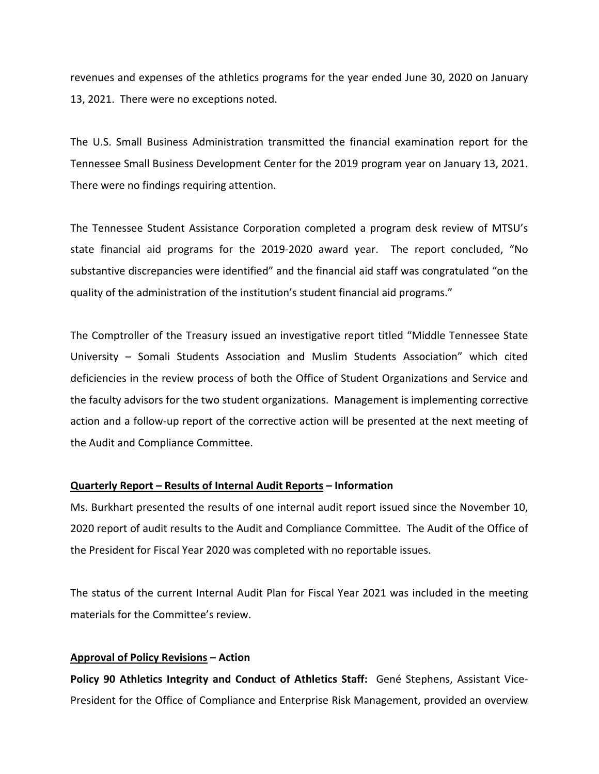revenues and expenses of the athletics programs for the year ended June 30, 2020 on January 13, 2021. There were no exceptions noted.

The U.S. Small Business Administration transmitted the financial examination report for the Tennessee Small Business Development Center for the 2019 program year on January 13, 2021. There were no findings requiring attention.

The Tennessee Student Assistance Corporation completed a program desk review of MTSU's state financial aid programs for the 2019‐2020 award year. The report concluded, "No substantive discrepancies were identified" and the financial aid staff was congratulated "on the quality of the administration of the institution's student financial aid programs."

The Comptroller of the Treasury issued an investigative report titled "Middle Tennessee State University – Somali Students Association and Muslim Students Association" which cited deficiencies in the review process of both the Office of Student Organizations and Service and the faculty advisors for the two student organizations. Management is implementing corrective action and a follow-up report of the corrective action will be presented at the next meeting of the Audit and Compliance Committee.

# **Quarterly Report – Results of Internal Audit Reports – Information**

Ms. Burkhart presented the results of one internal audit report issued since the November 10, 2020 report of audit results to the Audit and Compliance Committee. The Audit of the Office of the President for Fiscal Year 2020 was completed with no reportable issues.

The status of the current Internal Audit Plan for Fiscal Year 2021 was included in the meeting materials for the Committee's review.

# **Approval of Policy Revisions – Action**

**Policy 90 Athletics Integrity and Conduct of Athletics Staff:** Gené Stephens, Assistant Vice‐ President for the Office of Compliance and Enterprise Risk Management, provided an overview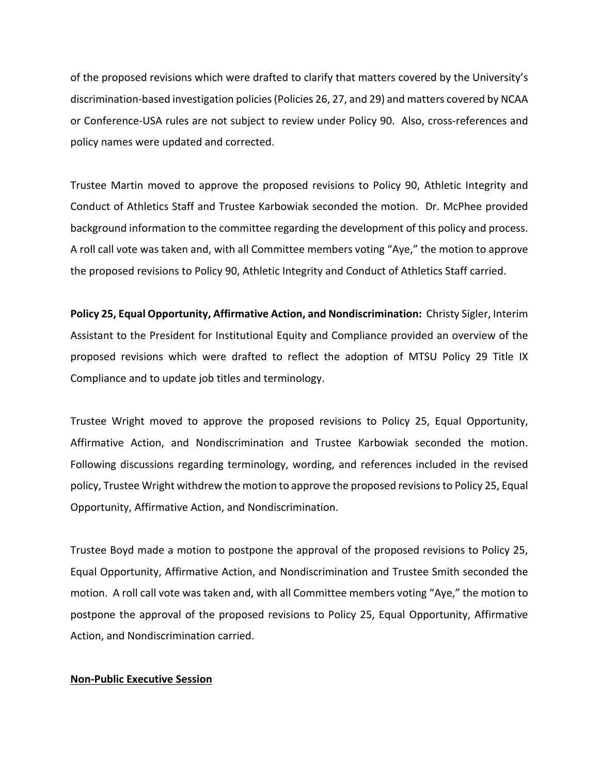of the proposed revisions which were drafted to clarify that matters covered by the University's discrimination‐based investigation policies(Policies 26, 27, and 29) and matters covered by NCAA or Conference‐USA rules are not subject to review under Policy 90. Also, cross‐references and policy names were updated and corrected.

Trustee Martin moved to approve the proposed revisions to Policy 90, Athletic Integrity and Conduct of Athletics Staff and Trustee Karbowiak seconded the motion. Dr. McPhee provided background information to the committee regarding the development of this policy and process. A roll call vote was taken and, with all Committee members voting "Aye," the motion to approve the proposed revisions to Policy 90, Athletic Integrity and Conduct of Athletics Staff carried.

**Policy 25, Equal Opportunity, Affirmative Action, and Nondiscrimination:** Christy Sigler, Interim Assistant to the President for Institutional Equity and Compliance provided an overview of the proposed revisions which were drafted to reflect the adoption of MTSU Policy 29 Title IX Compliance and to update job titles and terminology.

Trustee Wright moved to approve the proposed revisions to Policy 25, Equal Opportunity, Affirmative Action, and Nondiscrimination and Trustee Karbowiak seconded the motion. Following discussions regarding terminology, wording, and references included in the revised policy, Trustee Wright withdrew the motion to approve the proposed revisionsto Policy 25, Equal Opportunity, Affirmative Action, and Nondiscrimination.

Trustee Boyd made a motion to postpone the approval of the proposed revisions to Policy 25, Equal Opportunity, Affirmative Action, and Nondiscrimination and Trustee Smith seconded the motion. A roll call vote was taken and, with all Committee members voting "Aye," the motion to postpone the approval of the proposed revisions to Policy 25, Equal Opportunity, Affirmative Action, and Nondiscrimination carried.

## **Non‐Public Executive Session**